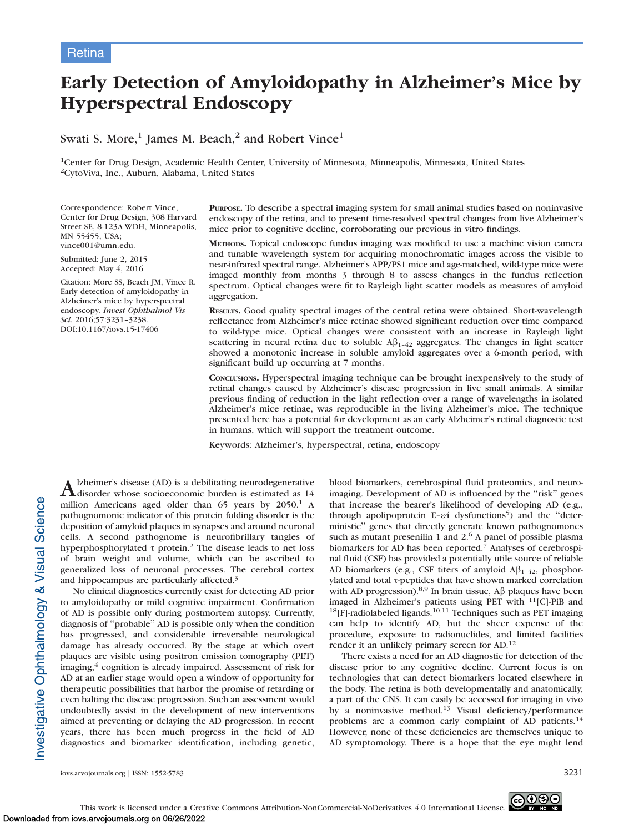# Early Detection of Amyloidopathy in Alzheimer's Mice by Hyperspectral Endoscopy

# Swati S. More, $1$  James M. Beach, $2$  and Robert Vince<sup>1</sup>

1Center for Drug Design, Academic Health Center, University of Minnesota, Minneapolis, Minnesota, United States 2CytoViva, Inc., Auburn, Alabama, United States

Correspondence: Robert Vince, Center for Drug Design, 308 Harvard Street SE, 8-123A WDH, Minneapolis, MN 55455, USA; vince001@umn.edu.

Submitted: June 2, 2015 Accepted: May 4, 2016

Citation: More SS, Beach JM, Vince R. Early detection of amyloidopathy in Alzheimer's mice by hyperspectral endoscopy. Invest Ophthalmol Vis Sci. 2016;57:3231–3238. DOI:10.1167/iovs.15-17406

PURPOSE. To describe a spectral imaging system for small animal studies based on noninvasive endoscopy of the retina, and to present time-resolved spectral changes from live Alzheimer's mice prior to cognitive decline, corroborating our previous in vitro findings.

METHODS. Topical endoscope fundus imaging was modified to use a machine vision camera and tunable wavelength system for acquiring monochromatic images across the visible to near-infrared spectral range. Alzheimer's APP/PS1 mice and age-matched, wild-type mice were imaged monthly from months 3 through 8 to assess changes in the fundus reflection spectrum. Optical changes were fit to Rayleigh light scatter models as measures of amyloid aggregation.

RESULTS. Good quality spectral images of the central retina were obtained. Short-wavelength reflectance from Alzheimer's mice retinae showed significant reduction over time compared to wild-type mice. Optical changes were consistent with an increase in Rayleigh light scattering in neural retina due to soluble  $A\beta_{1-42}$  aggregates. The changes in light scatter showed a monotonic increase in soluble amyloid aggregates over a 6-month period, with significant build up occurring at 7 months.

CONCLUSIONS. Hyperspectral imaging technique can be brought inexpensively to the study of retinal changes caused by Alzheimer's disease progression in live small animals. A similar previous finding of reduction in the light reflection over a range of wavelengths in isolated Alzheimer's mice retinae, was reproducible in the living Alzheimer's mice. The technique presented here has a potential for development as an early Alzheimer's retinal diagnostic test in humans, which will support the treatment outcome.

Keywords: Alzheimer's, hyperspectral, retina, endoscopy

Alzheimer's disease (AD) is a debilitating neurodegenerative<br>disorder whose socioeconomic burden is estimated as 14 million Americans aged older than  $65$  years by  $2050<sup>1</sup>$  A pathognomonic indicator of this protein folding disorder is the deposition of amyloid plaques in synapses and around neuronal cells. A second pathognome is neurofibrillary tangles of hyperphosphorylated  $\tau$  protein.<sup>2</sup> The disease leads to net loss of brain weight and volume, which can be ascribed to generalized loss of neuronal processes. The cerebral cortex and hippocampus are particularly affected.3

No clinical diagnostics currently exist for detecting AD prior to amyloidopathy or mild cognitive impairment. Confirmation of AD is possible only during postmortem autopsy. Currently, diagnosis of ''probable'' AD is possible only when the condition has progressed, and considerable irreversible neurological damage has already occurred. By the stage at which overt plaques are visible using positron emission tomography (PET) imaging,<sup>4</sup> cognition is already impaired. Assessment of risk for AD at an earlier stage would open a window of opportunity for therapeutic possibilities that harbor the promise of retarding or even halting the disease progression. Such an assessment would undoubtedly assist in the development of new interventions aimed at preventing or delaying the AD progression. In recent years, there has been much progress in the field of AD diagnostics and biomarker identification, including genetic,

blood biomarkers, cerebrospinal fluid proteomics, and neuroimaging. Development of AD is influenced by the "risk" genes that increase the bearer's likelihood of developing AD (e.g., through apolipoprotein  $E-\varepsilon 4$  dysfunctions<sup>5</sup>) and the "deterministic'' genes that directly generate known pathognomones such as mutant presenilin 1 and 2.<sup>6</sup> A panel of possible plasma biomarkers for AD has been reported.<sup>7</sup> Analyses of cerebrospinal fluid (CSF) has provided a potentially utile source of reliable AD biomarkers (e.g., CSF titers of amyloid  $A\beta_{1-42}$ , phosphorylated and total  $\tau$ -peptides that have shown marked correlation with AD progression).<sup>8,9</sup> In brain tissue, A $\beta$  plaques have been imaged in Alzheimer's patients using PET with <sup>11</sup>[C]-PiB and  $^{18}$ [F]-radiolabeled ligands.<sup>10,11</sup> Techniques such as PET imaging can help to identify AD, but the sheer expense of the procedure, exposure to radionuclides, and limited facilities render it an unlikely primary screen for AD.12

There exists a need for an AD diagnostic for detection of the disease prior to any cognitive decline. Current focus is on technologies that can detect biomarkers located elsewhere in the body. The retina is both developmentally and anatomically, a part of the CNS. It can easily be accessed for imaging in vivo by a noninvasive method.<sup>13</sup> Visual deficiency/performance problems are a common early complaint of AD patients.<sup>14</sup> However, none of these deficiencies are themselves unique to AD symptomology. There is a hope that the eye might lend

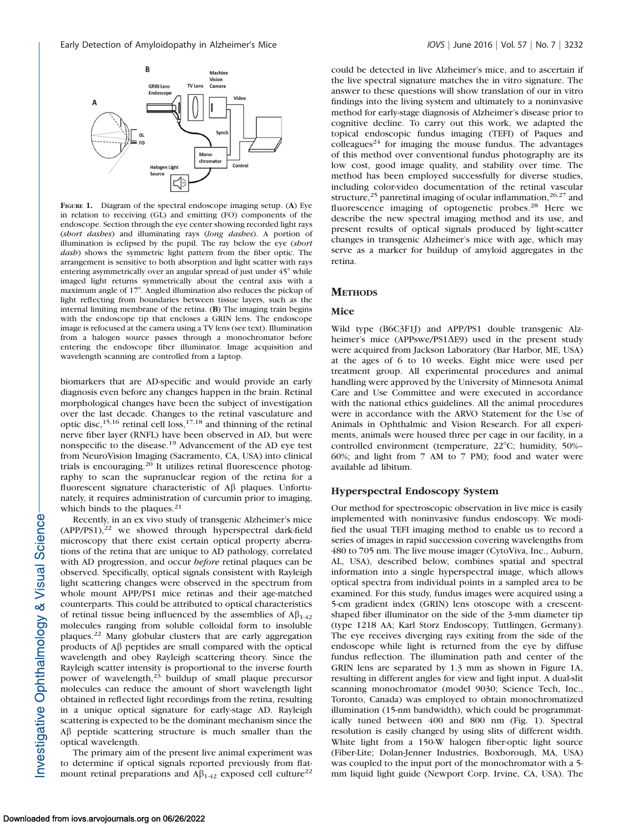

FIGURE 1. Diagram of the spectral endoscope imaging setup. (A) Eye in relation to receiving (GL) and emitting (FO) components of the endoscope. Section through the eye center showing recorded light rays (short dashes) and illuminating rays (long dashes). A portion of illumination is eclipsed by the pupil. The ray below the eye (short dash) shows the symmetric light pattern from the fiber optic. The arrangement is sensitive to both absorption and light scatter with rays entering asymmetrically over an angular spread of just under 45° while imaged light returns symmetrically about the central axis with a maximum angle of  $17^\circ$ . Angled illumination also reduces the pickup of light reflecting from boundaries between tissue layers, such as the internal limiting membrane of the retina. (B) The imaging train begins with the endoscope tip that encloses a GRIN lens. The endoscope image is refocused at the camera using a TV lens (see text). Illumination from a halogen source passes through a monochromator before entering the endoscope fiber illuminator. Image acquisition and wavelength scanning are controlled from a laptop.

biomarkers that are AD-specific and would provide an early diagnosis even before any changes happen in the brain. Retinal morphological changes have been the subject of investigation over the last decade. Changes to the retinal vasculature and optic disc,<sup>15,16</sup> retinal cell loss,<sup>17,18</sup> and thinning of the retinal nerve fiber layer (RNFL) have been observed in AD, but were nonspecific to the disease.19 Advancement of the AD eye test from NeuroVision Imaging (Sacramento, CA, USA) into clinical trials is encouraging.<sup>20</sup> It utilizes retinal fluorescence photography to scan the supranuclear region of the retina for a fluorescent signature characteristic of  $\mathbf{A}\beta$  plaques. Unfortunately, it requires administration of curcumin prior to imaging, which binds to the plaques.<sup>21</sup>

Recently, in an ex vivo study of transgenic Alzheimer's mice (APP/PS1),<sup>22</sup> we showed through hyperspectral dark-field microscopy that there exist certain optical property aberrations of the retina that are unique to AD pathology, correlated with AD progression, and occur *before* retinal plaques can be observed. Specifically, optical signals consistent with Rayleigh light scattering changes were observed in the spectrum from whole mount APP/PS1 mice retinas and their age-matched counterparts. This could be attributed to optical characteristics of retinal tissue being influenced by the assemblies of  $A\beta_{1-42}$ molecules ranging from soluble colloidal form to insoluble plaques.<sup>22</sup> Many globular clusters that are early aggregation products of Ab peptides are small compared with the optical wavelength and obey Rayleigh scattering theory. Since the Rayleigh scatter intensity is proportional to the inverse fourth power of wavelength,<sup>23</sup> buildup of small plaque precursor molecules can reduce the amount of short wavelength light obtained in reflected light recordings from the retina, resulting in a unique optical signature for early-stage AD. Rayleigh scattering is expected to be the dominant mechanism since the  $\Lambda\beta$  peptide scattering structure is much smaller than the optical wavelength.

The primary aim of the present live animal experiment was to determine if optical signals reported previously from flatmount retinal preparations and  $A\beta_{1.42}$  exposed cell culture<sup>22</sup> could be detected in live Alzheimer's mice, and to ascertain if the live spectral signature matches the in vitro signature. The answer to these questions will show translation of our in vitro findings into the living system and ultimately to a noninvasive method for early-stage diagnosis of Alzheimer's disease prior to cognitive decline. To carry out this work, we adapted the topical endoscopic fundus imaging (TEFI) of Paques and  $\text{colle}$  colleagues<sup>24</sup> for imaging the mouse fundus. The advantages of this method over conventional fundus photography are its low cost, good image quality, and stability over time. The method has been employed successfully for diverse studies, including color-video documentation of the retinal vascular structure,<sup>25</sup> panretinal imaging of ocular inflammation,<sup>26,27</sup> and fluorescence imaging of optogenetic probes.<sup>28</sup> Here we describe the new spectral imaging method and its use, and present results of optical signals produced by light-scatter changes in transgenic Alzheimer's mice with age, which may serve as a marker for buildup of amyloid aggregates in the retina.

# **METHODS**

#### Mice

Wild type (B6C3F1J) and APP/PS1 double transgenic Alzheimer's mice (APPswe/PS1 $\Delta$ E9) used in the present study were acquired from Jackson Laboratory (Bar Harbor, ME, USA) at the ages of 6 to 10 weeks. Eight mice were used per treatment group. All experimental procedures and animal handling were approved by the University of Minnesota Animal Care and Use Committee and were executed in accordance with the national ethics guidelines. All the animal procedures were in accordance with the ARVO Statement for the Use of Animals in Ophthalmic and Vision Research. For all experiments, animals were housed three per cage in our facility, in a controlled environment (temperature, 22°C; humidity, 50%-60%; and light from 7 AM to 7 PM); food and water were available ad libitum.

# Hyperspectral Endoscopy System

Our method for spectroscopic observation in live mice is easily implemented with noninvasive fundus endoscopy. We modified the usual TEFI imaging method to enable us to record a series of images in rapid succession covering wavelengths from 480 to 705 nm. The live mouse imager (CytoViva, Inc., Auburn, AL, USA), described below, combines spatial and spectral information into a single hyperspectral image, which allows optical spectra from individual points in a sampled area to be examined. For this study, fundus images were acquired using a 5-cm gradient index (GRIN) lens otoscope with a crescentshaped fiber illuminator on the side of the 3-mm diameter tip (type 1218 AA; Karl Storz Endoscopy, Tuttlingen, Germany). The eye receives diverging rays exiting from the side of the endoscope while light is returned from the eye by diffuse fundus reflection. The illumination path and center of the GRIN lens are separated by 1.3 mm as shown in Figure 1A, resulting in different angles for view and light input. A dual-slit scanning monochromator (model 9030; Science Tech, Inc., Toronto, Canada) was employed to obtain monochromatized illumination (15-nm bandwidth), which could be programmatically tuned between 400 and 800 nm (Fig. 1). Spectral resolution is easily changed by using slits of different width. White light from a 150-W halogen fiber-optic light source (Fiber-Lite; Dolan-Jenner Industries, Boxborough, MA, USA) was coupled to the input port of the monochromator with a 5 mm liquid light guide (Newport Corp. Irvine, CA, USA). The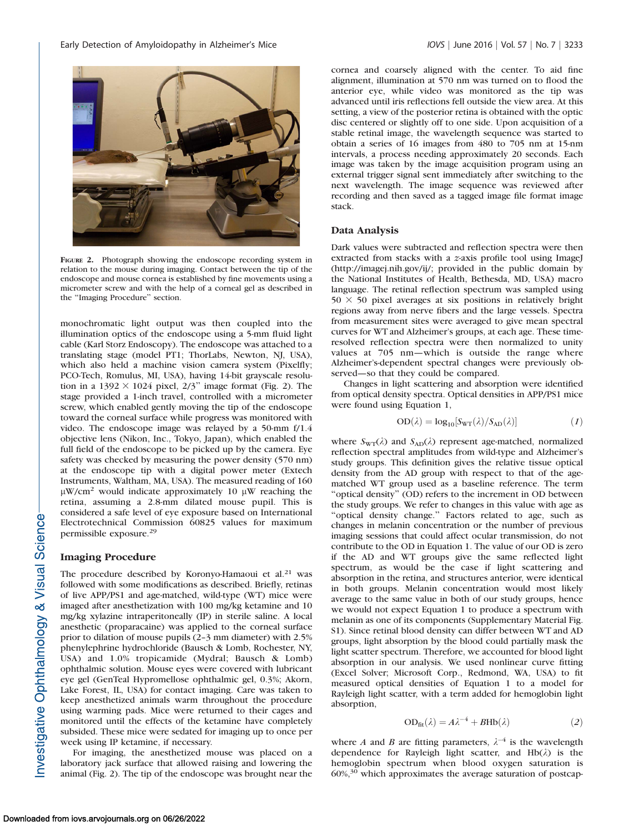

FIGURE 2. Photograph showing the endoscope recording system in relation to the mouse during imaging. Contact between the tip of the endoscope and mouse cornea is established by fine movements using a micrometer screw and with the help of a corneal gel as described in the ''Imaging Procedure'' section.

monochromatic light output was then coupled into the illumination optics of the endoscope using a 5-mm fluid light cable (Karl Storz Endoscopy). The endoscope was attached to a translating stage (model PT1; ThorLabs, Newton, NJ, USA), which also held a machine vision camera system (Pixelfly; PCO-Tech, Romulus, MI, USA), having 14-bit grayscale resolution in a 1392  $\times$  1024 pixel, 2/3" image format (Fig. 2). The stage provided a 1-inch travel, controlled with a micrometer screw, which enabled gently moving the tip of the endoscope toward the corneal surface while progress was monitored with video. The endoscope image was relayed by a 50-mm f/1.4 objective lens (Nikon, Inc., Tokyo, Japan), which enabled the full field of the endoscope to be picked up by the camera. Eye safety was checked by measuring the power density (570 nm) at the endoscope tip with a digital power meter (Extech Instruments, Waltham, MA, USA). The measured reading of 160  $\mu$ W/cm<sup>2</sup> would indicate approximately 10  $\mu$ W reaching the retina, assuming a 2.8-mm dilated mouse pupil. This is considered a safe level of eye exposure based on International Electrotechnical Commission 60825 values for maximum permissible exposure.<sup>29</sup>

#### Imaging Procedure

The procedure described by Koronyo-Hamaoui et al.<sup>21</sup> was followed with some modifications as described. Briefly, retinas of live APP/PS1 and age-matched, wild-type (WT) mice were imaged after anesthetization with 100 mg/kg ketamine and 10 mg/kg xylazine intraperitoneally (IP) in sterile saline. A local anesthetic (proparacaine) was applied to the corneal surface prior to dilation of mouse pupils (2–3 mm diameter) with 2.5% phenylephrine hydrochloride (Bausch & Lomb, Rochester, NY, USA) and 1.0% tropicamide (Mydral; Bausch & Lomb) ophthalmic solution. Mouse eyes were covered with lubricant eye gel (GenTeal Hypromellose ophthalmic gel, 0.3%; Akorn, Lake Forest, IL, USA) for contact imaging. Care was taken to keep anesthetized animals warm throughout the procedure using warming pads. Mice were returned to their cages and monitored until the effects of the ketamine have completely subsided. These mice were sedated for imaging up to once per week using IP ketamine, if necessary.

For imaging, the anesthetized mouse was placed on a laboratory jack surface that allowed raising and lowering the animal (Fig. 2). The tip of the endoscope was brought near the cornea and coarsely aligned with the center. To aid fine alignment, illumination at 570 nm was turned on to flood the anterior eye, while video was monitored as the tip was advanced until iris reflections fell outside the view area. At this setting, a view of the posterior retina is obtained with the optic disc centered or slightly off to one side. Upon acquisition of a stable retinal image, the wavelength sequence was started to obtain a series of 16 images from 480 to 705 nm at 15-nm intervals, a process needing approximately 20 seconds. Each image was taken by the image acquisition program using an external trigger signal sent immediately after switching to the next wavelength. The image sequence was reviewed after recording and then saved as a tagged image file format image stack.

#### Data Analysis

Dark values were subtracted and reflection spectra were then extracted from stacks with a z-axis profile tool using ImageJ (http://imagej.nih.gov/ij/; provided in the public domain by the National Institutes of Health, Bethesda, MD, USA) macro language. The retinal reflection spectrum was sampled using  $50 \times 50$  pixel averages at six positions in relatively bright regions away from nerve fibers and the large vessels. Spectra from measurement sites were averaged to give mean spectral curves for WT and Alzheimer's groups, at each age. These timeresolved reflection spectra were then normalized to unity values at 705 nm—which is outside the range where Alzheimer's-dependent spectral changes were previously observed—so that they could be compared.

Changes in light scattering and absorption were identified from optical density spectra. Optical densities in APP/PS1 mice were found using Equation 1,

$$
OD(\lambda) = log_{10}[S_{WT}(\lambda)/S_{AD}(\lambda)] \qquad (1)
$$

where  $S_{\text{WT}}(\lambda)$  and  $S_{AD}(\lambda)$  represent age-matched, normalized reflection spectral amplitudes from wild-type and Alzheimer's study groups. This definition gives the relative tissue optical density from the AD group with respect to that of the agematched WT group used as a baseline reference. The term "optical density" (OD) refers to the increment in OD between the study groups. We refer to changes in this value with age as ''optical density change.'' Factors related to age, such as changes in melanin concentration or the number of previous imaging sessions that could affect ocular transmission, do not contribute to the OD in Equation 1. The value of our OD is zero if the AD and WT groups give the same reflected light spectrum, as would be the case if light scattering and absorption in the retina, and structures anterior, were identical in both groups. Melanin concentration would most likely average to the same value in both of our study groups, hence we would not expect Equation 1 to produce a spectrum with melanin as one of its components (Supplementary Material Fig. S1). Since retinal blood density can differ between WT and AD groups, light absorption by the blood could partially mask the light scatter spectrum. Therefore, we accounted for blood light absorption in our analysis. We used nonlinear curve fitting (Excel Solver; Microsoft Corp., Redmond, WA, USA) to fit measured optical densities of Equation 1 to a model for Rayleigh light scatter, with a term added for hemoglobin light absorption,

$$
OD_{\text{fit}}(\lambda) = A\lambda^{-4} + B\text{Hb}(\lambda) \tag{2}
$$

where A and B are fitting parameters,  $\lambda^{-4}$  is the wavelength dependence for Rayleigh light scatter, and  $Hb(\lambda)$  is the hemoglobin spectrum when blood oxygen saturation is  $60\%,$ <sup>30</sup> which approximates the average saturation of postcap-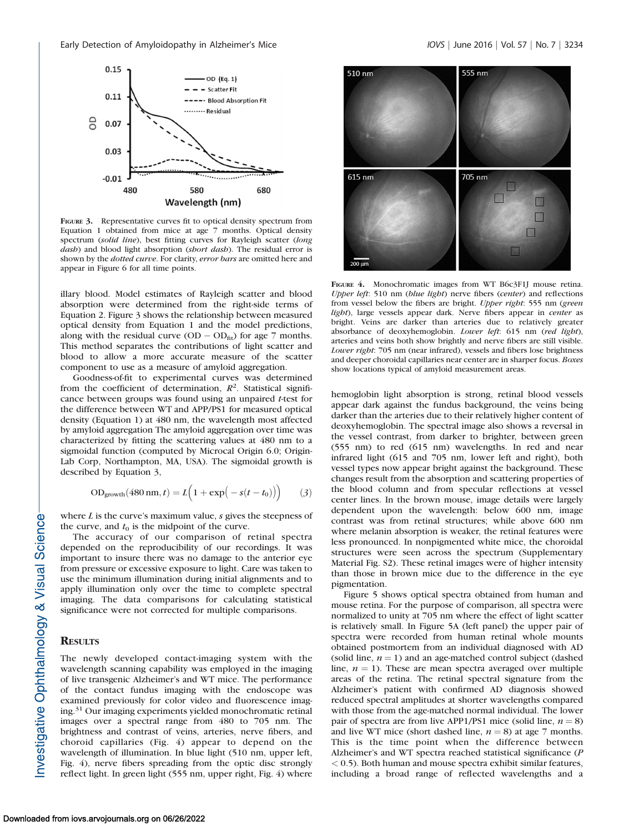

FIGURE 3. Representative curves fit to optical density spectrum from Equation 1 obtained from mice at age 7 months. Optical density spectrum (solid line), best fitting curves for Rayleigh scatter (long dash) and blood light absorption (short dash). The residual error is shown by the *dotted curve*. For clarity, error bars are omitted here and appear in Figure 6 for all time points.

illary blood. Model estimates of Rayleigh scatter and blood absorption were determined from the right-side terms of Equation 2. Figure 3 shows the relationship between measured optical density from Equation 1 and the model predictions, along with the residual curve  $(OD - OD<sub>fit</sub>)$  for age 7 months. This method separates the contributions of light scatter and blood to allow a more accurate measure of the scatter component to use as a measure of amyloid aggregation.

Goodness-of-fit to experimental curves was determined from the coefficient of determination,  $R^2$ . Statistical significance between groups was found using an unpaired t-test for the difference between WT and APP/PS1 for measured optical density (Equation 1) at 480 nm, the wavelength most affected by amyloid aggregation The amyloid aggregation over time was characterized by fitting the scattering values at 480 nm to a sigmoidal function (computed by Microcal Origin 6.0; Origin-Lab Corp, Northampton, MA, USA). The sigmoidal growth is described by Equation 3,

$$
OD_{\text{growth}}(480 \text{ nm}, t) = L\Big(1 + \exp(-s(t - t_0))\Big) \tag{3}
$$

where  $L$  is the curve's maximum value,  $s$  gives the steepness of the curve, and  $t_0$  is the midpoint of the curve.

The accuracy of our comparison of retinal spectra depended on the reproducibility of our recordings. It was important to insure there was no damage to the anterior eye from pressure or excessive exposure to light. Care was taken to use the minimum illumination during initial alignments and to apply illumination only over the time to complete spectral imaging. The data comparisons for calculating statistical significance were not corrected for multiple comparisons.

## **RESULTS**

The newly developed contact-imaging system with the wavelength scanning capability was employed in the imaging of live transgenic Alzheimer's and WT mice. The performance of the contact fundus imaging with the endoscope was examined previously for color video and fluorescence imaging.31 Our imaging experiments yielded monochromatic retinal images over a spectral range from 480 to 705 nm. The brightness and contrast of veins, arteries, nerve fibers, and choroid capillaries (Fig. 4) appear to depend on the wavelength of illumination. In blue light (510 nm, upper left, Fig. 4), nerve fibers spreading from the optic disc strongly reflect light. In green light (555 nm, upper right, Fig. 4) where



FIGURE 4. Monochromatic images from WT B6c3F1J mouse retina. Upper left: 510 nm (blue light) nerve fibers (center) and reflections from vessel below the fibers are bright. Upper right: 555 nm (green light), large vessels appear dark. Nerve fibers appear in center as bright. Veins are darker than arteries due to relatively greater absorbance of deoxyhemoglobin. Lower left: 615 nm (red light), arteries and veins both show brightly and nerve fibers are still visible. Lower right: 705 nm (near infrared), vessels and fibers lose brightness and deeper choroidal capillaries near center are in sharper focus. Boxes show locations typical of amyloid measurement areas.

hemoglobin light absorption is strong, retinal blood vessels appear dark against the fundus background, the veins being darker than the arteries due to their relatively higher content of deoxyhemoglobin. The spectral image also shows a reversal in the vessel contrast, from darker to brighter, between green (555 nm) to red (615 nm) wavelengths. In red and near infrared light (615 and 705 nm, lower left and right), both vessel types now appear bright against the background. These changes result from the absorption and scattering properties of the blood column and from specular reflections at vessel center lines. In the brown mouse, image details were largely dependent upon the wavelength: below 600 nm, image contrast was from retinal structures; while above 600 nm where melanin absorption is weaker, the retinal features were less pronounced. In nonpigmented white mice, the choroidal structures were seen across the spectrum (Supplementary Material Fig. S2). These retinal images were of higher intensity than those in brown mice due to the difference in the eye pigmentation.

Figure 5 shows optical spectra obtained from human and mouse retina. For the purpose of comparison, all spectra were normalized to unity at 705 nm where the effect of light scatter is relatively small. In Figure 5A (left panel) the upper pair of spectra were recorded from human retinal whole mounts obtained postmortem from an individual diagnosed with AD (solid line,  $n = 1$ ) and an age-matched control subject (dashed line,  $n = 1$ ). These are mean spectra averaged over multiple areas of the retina. The retinal spectral signature from the Alzheimer's patient with confirmed AD diagnosis showed reduced spectral amplitudes at shorter wavelengths compared with those from the age-matched normal individual. The lower pair of spectra are from live APP1/PS1 mice (solid line,  $n = 8$ ) and live WT mice (short dashed line,  $n = 8$ ) at age 7 months. This is the time point when the difference between Alzheimer's and WT spectra reached statistical significance (P  $<$  0.5). Both human and mouse spectra exhibit similar features, including a broad range of reflected wavelengths and a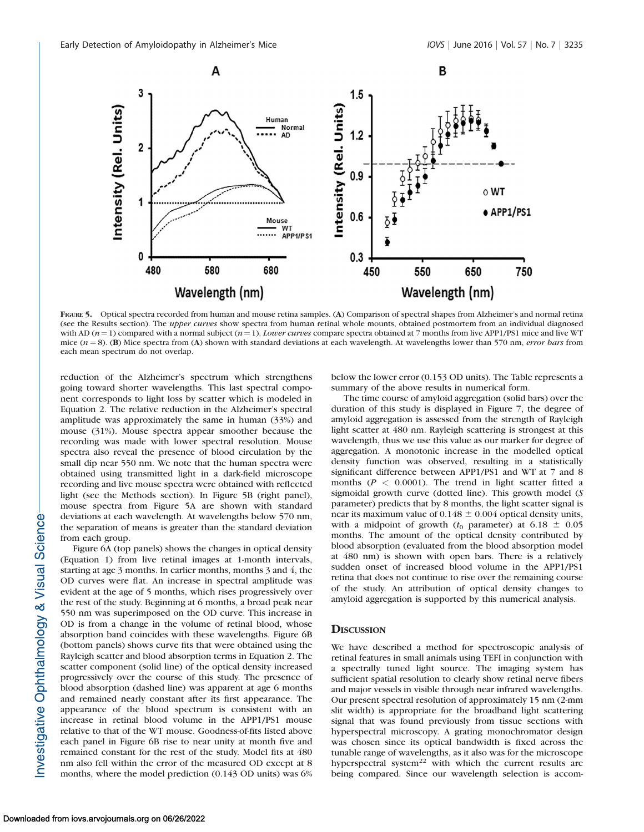

FIGURE 5. Optical spectra recorded from human and mouse retina samples. (A) Comparison of spectral shapes from Alzheimer's and normal retina (see the Results section). The *upper curves* show spectra from human retinal whole mounts, obtained postmortem from an individual diagnosed with AD  $(n=1)$  compared with a normal subject  $(n=1)$ . Lower curves compare spectra obtained at 7 months from live APP1/PS1 mice and live WT mice  $(n = 8)$ . (B) Mice spectra from (A) shown with standard deviations at each wavelength. At wavelengths lower than 570 nm, error bars from each mean spectrum do not overlap.

reduction of the Alzheimer's spectrum which strengthens going toward shorter wavelengths. This last spectral component corresponds to light loss by scatter which is modeled in Equation 2. The relative reduction in the Alzheimer's spectral amplitude was approximately the same in human (33%) and mouse (31%). Mouse spectra appear smoother because the recording was made with lower spectral resolution. Mouse spectra also reveal the presence of blood circulation by the small dip near 550 nm. We note that the human spectra were obtained using transmitted light in a dark-field microscope recording and live mouse spectra were obtained with reflected light (see the Methods section). In Figure 5B (right panel), mouse spectra from Figure 5A are shown with standard deviations at each wavelength. At wavelengths below 570 nm, the separation of means is greater than the standard deviation from each group.

Figure 6A (top panels) shows the changes in optical density (Equation 1) from live retinal images at 1-month intervals, starting at age 3 months. In earlier months, months 3 and 4, the OD curves were flat. An increase in spectral amplitude was evident at the age of 5 months, which rises progressively over the rest of the study. Beginning at 6 months, a broad peak near 550 nm was superimposed on the OD curve. This increase in OD is from a change in the volume of retinal blood, whose absorption band coincides with these wavelengths. Figure 6B (bottom panels) shows curve fits that were obtained using the Rayleigh scatter and blood absorption terms in Equation 2. The scatter component (solid line) of the optical density increased progressively over the course of this study. The presence of blood absorption (dashed line) was apparent at age 6 months and remained nearly constant after its first appearance. The appearance of the blood spectrum is consistent with an increase in retinal blood volume in the APP1/PS1 mouse relative to that of the WT mouse. Goodness-of-fits listed above each panel in Figure 6B rise to near unity at month five and remained constant for the rest of the study. Model fits at 480 nm also fell within the error of the measured OD except at 8 months, where the model prediction (0.143 OD units) was 6%

below the lower error (0.153 OD units). The Table represents a summary of the above results in numerical form.

The time course of amyloid aggregation (solid bars) over the duration of this study is displayed in Figure 7, the degree of amyloid aggregation is assessed from the strength of Rayleigh light scatter at 480 nm. Rayleigh scattering is strongest at this wavelength, thus we use this value as our marker for degree of aggregation. A monotonic increase in the modelled optical density function was observed, resulting in a statistically significant difference between APP1/PS1 and WT at 7 and 8 months ( $P < 0.0001$ ). The trend in light scatter fitted a sigmoidal growth curve (dotted line). This growth model (S parameter) predicts that by 8 months, the light scatter signal is near its maximum value of  $0.148 \pm 0.004$  optical density units, with a midpoint of growth ( $t_0$  parameter) at 6.18  $\pm$  0.05 months. The amount of the optical density contributed by blood absorption (evaluated from the blood absorption model at 480 nm) is shown with open bars. There is a relatively sudden onset of increased blood volume in the APP1/PS1 retina that does not continue to rise over the remaining course of the study. An attribution of optical density changes to amyloid aggregation is supported by this numerical analysis.

# **DISCUSSION**

We have described a method for spectroscopic analysis of retinal features in small animals using TEFI in conjunction with a spectrally tuned light source. The imaging system has sufficient spatial resolution to clearly show retinal nerve fibers and major vessels in visible through near infrared wavelengths. Our present spectral resolution of approximately 15 nm (2-mm slit width) is appropriate for the broadband light scattering signal that was found previously from tissue sections with hyperspectral microscopy. A grating monochromator design was chosen since its optical bandwidth is fixed across the tunable range of wavelengths, as it also was for the microscope hyperspectral system<sup>22</sup> with which the current results are being compared. Since our wavelength selection is accom-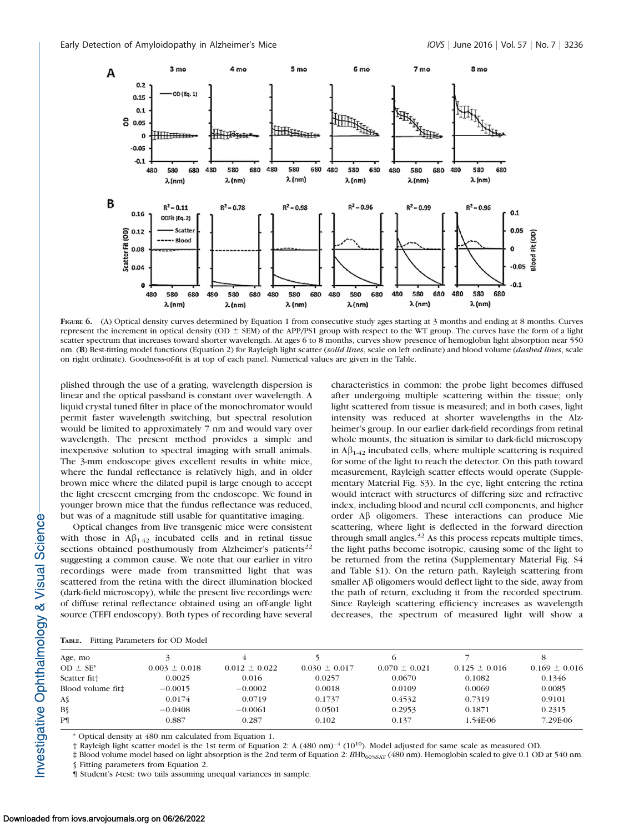

FIGURE 6. (A) Optical density curves determined by Equation 1 from consecutive study ages starting at 3 months and ending at 8 months. Curves represent the increment in optical density (OD  $\pm$  SEM) of the APP/PS1 group with respect to the WT group. The curves have the form of a light scatter spectrum that increases toward shorter wavelength. At ages 6 to 8 months, curves show presence of hemoglobin light absorption near 550 nm. (B) Best-fitting model functions (Equation 2) for Rayleigh light scatter (solid lines, scale on left ordinate) and blood volume (*dashed lines*, scale on right ordinate). Goodness-of-fit is at top of each panel. Numerical values are given in the Table.

plished through the use of a grating, wavelength dispersion is linear and the optical passband is constant over wavelength. A liquid crystal tuned filter in place of the monochromator would permit faster wavelength switching, but spectral resolution would be limited to approximately 7 nm and would vary over wavelength. The present method provides a simple and inexpensive solution to spectral imaging with small animals. The 3-mm endoscope gives excellent results in white mice, where the fundal reflectance is relatively high, and in older brown mice where the dilated pupil is large enough to accept the light crescent emerging from the endoscope. We found in younger brown mice that the fundus reflectance was reduced, but was of a magnitude still usable for quantitative imaging.

Optical changes from live transgenic mice were consistent with those in  $A\beta_{1-42}$  incubated cells and in retinal tissue sections obtained posthumously from Alzheimer's patients<sup>22</sup> suggesting a common cause. We note that our earlier in vitro recordings were made from transmitted light that was scattered from the retina with the direct illumination blocked (dark-field microscopy), while the present live recordings were of diffuse retinal reflectance obtained using an off-angle light source (TEFI endoscopy). Both types of recording have several characteristics in common: the probe light becomes diffused after undergoing multiple scattering within the tissue; only light scattered from tissue is measured; and in both cases, light intensity was reduced at shorter wavelengths in the Alzheimer's group. In our earlier dark-field recordings from retinal whole mounts, the situation is similar to dark-field microscopy in  $A\beta_{1\text{-}42}$  incubated cells, where multiple scattering is required for some of the light to reach the detector. On this path toward measurement, Rayleigh scatter effects would operate (Supplementary Material Fig. S3). In the eye, light entering the retina would interact with structures of differing size and refractive index, including blood and neural cell components, and higher order  $\Lambda\beta$  oligomers. These interactions can produce Mie scattering, where light is deflected in the forward direction through small angles.<sup>32</sup> As this process repeats multiple times, the light paths become isotropic, causing some of the light to be returned from the retina (Supplementary Material Fig. S4 and Table S1). On the return path, Rayleigh scattering from smaller  $A\beta$  oligomers would deflect light to the side, away from the path of return, excluding it from the recorded spectrum. Since Rayleigh scattering efficiency increases as wavelength decreases, the spectrum of measured light will show a

TABLE. Fitting Parameters for OD Model

| Age, mo                  |                   |                   |                   |                   |                   |                   |
|--------------------------|-------------------|-------------------|-------------------|-------------------|-------------------|-------------------|
| $OD \pm SE^*$            | $0.003 \pm 0.018$ | $0.012 \pm 0.022$ | $0.030 \pm 0.017$ | $0.070 \pm 0.021$ | $0.125 \pm 0.016$ | $0.169 \pm 0.016$ |
| Scatter fit <sup>+</sup> | 0.0025            | 0.016             | 0.0257            | 0.0670            | 0.1082            | 0.1346            |
| Blood volume fit#        | $-0.0015$         | $-0.0002$         | 0.0018            | 0.0109            | 0.0069            | 0.0085            |
| A                        | 0.0174            | 0.0719            | 0.1737            | 0.4532            | 0.7319            | 0.9101            |
| B                        | $-0.0408$         | $-0.0061$         | 0.0501            | 0.2953            | 0.1871            | 0.2315            |
| P <sub>1</sub>           | 0.887             | 0.287             | 0.102             | 0.137             | 1.54E-06          | 7.29E-06          |
|                          |                   |                   |                   |                   |                   |                   |

\* Optical density at 480 nm calculated from Equation 1.

 $\dagger$  Rayleigh light scatter model is the 1st term of Equation 2: A (480 nm)<sup>-4</sup> (10<sup>10</sup>). Model adjusted for same scale as measured OD.

‡ Blood volume model based on light absorption is the 2nd term of Equation 2: BHb60%SAT (480 nm). Hemoglobin scaled to give 0.1 OD at 540 nm.

§ Fitting parameters from Equation 2.

¶ Student's t-test: two tails assuming unequal variances in sample.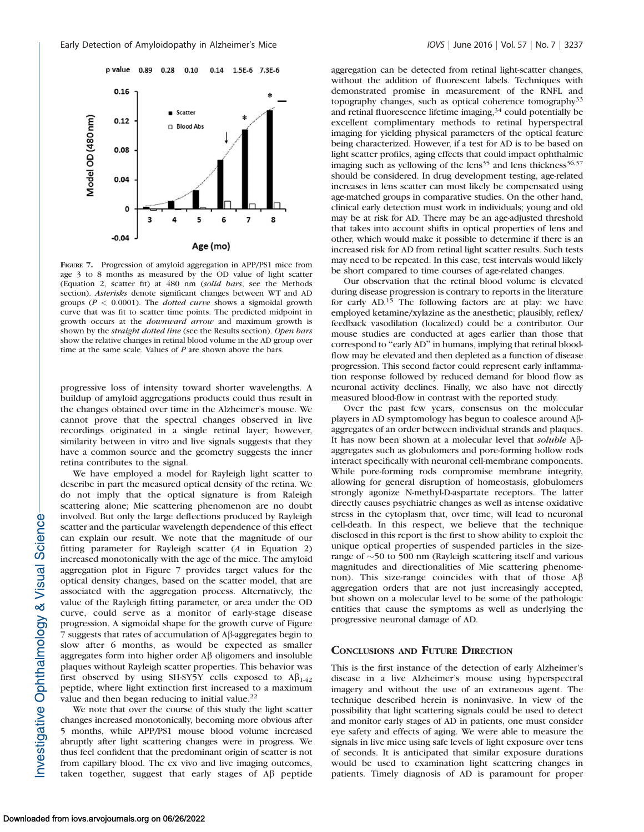



FIGURE 7. Progression of amyloid aggregation in APP/PS1 mice from age 3 to 8 months as measured by the OD value of light scatter (Equation 2, scatter fit) at 480 nm (solid bars, see the Methods section). Asterisks denote significant changes between WT and AD groups ( $P < 0.0001$ ). The *dotted curve* shows a sigmoidal growth curve that was fit to scatter time points. The predicted midpoint in growth occurs at the downward arrow and maximum growth is shown by the *straight dotted line* (see the Results section). Open bars show the relative changes in retinal blood volume in the AD group over time at the same scale. Values of  $P$  are shown above the bars.

progressive loss of intensity toward shorter wavelengths. A buildup of amyloid aggregations products could thus result in the changes obtained over time in the Alzheimer's mouse. We cannot prove that the spectral changes observed in live recordings originated in a single retinal layer; however, similarity between in vitro and live signals suggests that they have a common source and the geometry suggests the inner retina contributes to the signal.

We have employed a model for Rayleigh light scatter to describe in part the measured optical density of the retina. We do not imply that the optical signature is from Raleigh scattering alone; Mie scattering phenomenon are no doubt involved. But only the large deflections produced by Rayleigh scatter and the particular wavelength dependence of this effect can explain our result. We note that the magnitude of our fitting parameter for Rayleigh scatter (A in Equation 2) increased monotonically with the age of the mice. The amyloid aggregation plot in Figure 7 provides target values for the optical density changes, based on the scatter model, that are associated with the aggregation process. Alternatively, the value of the Rayleigh fitting parameter, or area under the OD curve, could serve as a monitor of early-stage disease progression. A sigmoidal shape for the growth curve of Figure 7 suggests that rates of accumulation of Ab-aggregates begin to slow after 6 months, as would be expected as smaller aggregates form into higher order  $\mathbf{A}\beta$  oligomers and insoluble plaques without Rayleigh scatter properties. This behavior was first observed by using SH-SY5Y cells exposed to  $A\beta_{1-42}$ peptide, where light extinction first increased to a maximum value and then began reducing to initial value. $^{22}$ 

We note that over the course of this study the light scatter changes increased monotonically, becoming more obvious after 5 months, while APP/PS1 mouse blood volume increased abruptly after light scattering changes were in progress. We thus feel confident that the predominant origin of scatter is not from capillary blood. The ex vivo and live imaging outcomes, taken together, suggest that early stages of  $\mathbf{A}\mathbf{\beta}$  peptide

aggregation can be detected from retinal light-scatter changes, without the addition of fluorescent labels. Techniques with demonstrated promise in measurement of the RNFL and topography changes, such as optical coherence tomography<sup>33</sup> and retinal fluorescence lifetime imaging,<sup>34</sup> could potentially be excellent complimentary methods to retinal hyperspectral imaging for yielding physical parameters of the optical feature being characterized. However, if a test for AD is to be based on light scatter profiles, aging effects that could impact ophthalmic imaging such as yellowing of the lens<sup>35</sup> and lens thickness<sup>36,37</sup> should be considered. In drug development testing, age-related increases in lens scatter can most likely be compensated using age-matched groups in comparative studies. On the other hand, clinical early detection must work in individuals; young and old may be at risk for AD. There may be an age-adjusted threshold that takes into account shifts in optical properties of lens and other, which would make it possible to determine if there is an increased risk for AD from retinal light scatter results. Such tests may need to be repeated. In this case, test intervals would likely be short compared to time courses of age-related changes.

Our observation that the retinal blood volume is elevated during disease progression is contrary to reports in the literature for early AD.15 The following factors are at play: we have employed ketamine/xylazine as the anesthetic; plausibly, reflex/ feedback vasodilation (localized) could be a contributor. Our mouse studies are conducted at ages earlier than those that correspond to ''early AD'' in humans, implying that retinal bloodflow may be elevated and then depleted as a function of disease progression. This second factor could represent early inflammation response followed by reduced demand for blood flow as neuronal activity declines. Finally, we also have not directly measured blood-flow in contrast with the reported study.

Over the past few years, consensus on the molecular players in AD symptomology has begun to coalesce around Abaggregates of an order between individual strands and plaques. It has now been shown at a molecular level that soluble Abaggregates such as globulomers and pore-forming hollow rods interact specifically with neuronal cell-membrane components. While pore-forming rods compromise membrane integrity, allowing for general disruption of homeostasis, globulomers strongly agonize N-methyl-D-aspartate receptors. The latter directly causes psychiatric changes as well as intense oxidative stress in the cytoplasm that, over time, will lead to neuronal cell-death. In this respect, we believe that the technique disclosed in this report is the first to show ability to exploit the unique optical properties of suspended particles in the sizerange of  $\sim$ 50 to 500 nm (Rayleigh scattering itself and various magnitudes and directionalities of Mie scattering phenomenon). This size-range coincides with that of those  $A\beta$ aggregation orders that are not just increasingly accepted, but shown on a molecular level to be some of the pathologic entities that cause the symptoms as well as underlying the progressive neuronal damage of AD.

# CONCLUSIONS AND FUTURE DIRECTION

This is the first instance of the detection of early Alzheimer's disease in a live Alzheimer's mouse using hyperspectral imagery and without the use of an extraneous agent. The technique described herein is noninvasive. In view of the possibility that light scattering signals could be used to detect and monitor early stages of AD in patients, one must consider eye safety and effects of aging. We were able to measure the signals in live mice using safe levels of light exposure over tens of seconds. It is anticipated that similar exposure durations would be used to examination light scattering changes in patients. Timely diagnosis of AD is paramount for proper